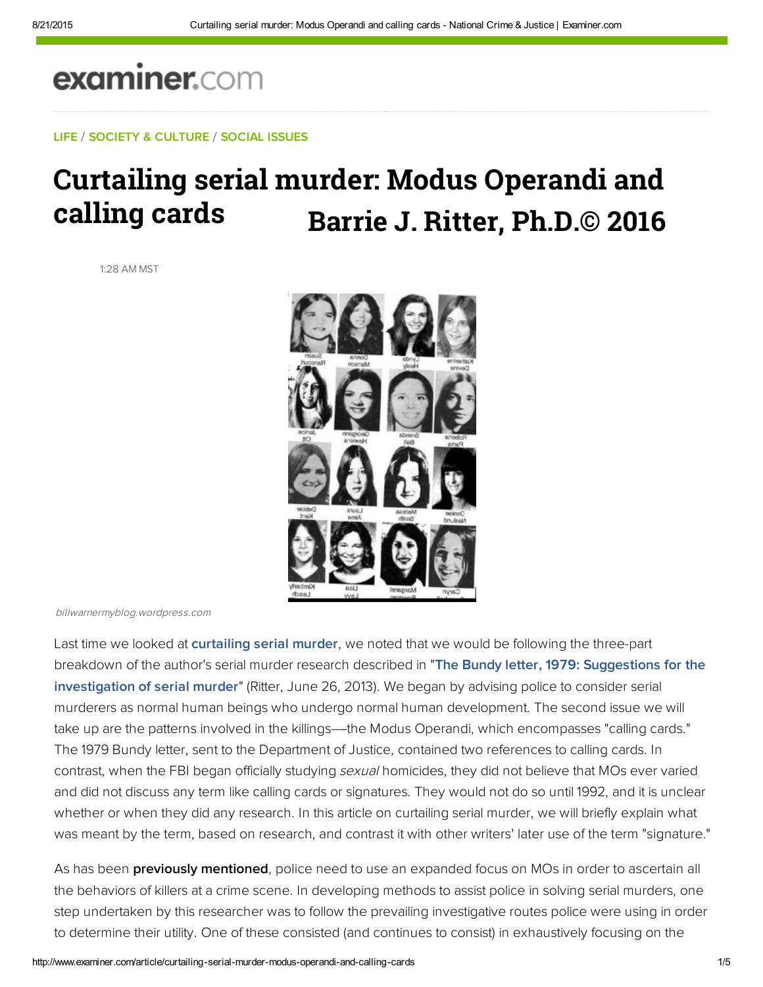# examiner.com

LIFE / SOCIETY & CULTURE / SOCIAL ISSUES

# Curtailing serial murder: Modus Operandi and calling cards **Barrie J. Ritter, Ph.D.© 2016**

1:28 AM MST



billwarnermyblog.wordpress.com

Last time we looked at [curtailing serial murder](www.ritterhomicideresearch.com/articles/Ways-to-curtail-Serial-Murder_normal-humans-who-kill.pdf), we noted that we would be following the three-part [breakdown of the author's serial murder research described in "The Bundy letter, 1979: Suggestions for the](www.ritterhomicideresearch.com/articles/The-Bundy-Letter.pdf)  investigation of serial murder" (Ritter, June 26, 2013). We began by advising police to consider serial murderers as normal human beings who undergo normal human development. The second issue we will take up are the patterns involved in the killings––the Modus Operandi, which encompasses "calling cards." The 1979 Bundy letter, sent to the Department of Justice, contained two references to calling cards. In contrast, when the FBI began officially studying sexual homicides, they did not believe that MOs ever varied and did not discuss any term like calling cards or signatures. They would not do so until 1992, and it is unclear whether or when they did any research. In this article on curtailing serial murder, we will briefly explain what was meant by the term, based on research, and contrast it with other writers' later use of the term "signature."

As has been **previously mentioned**, police need to use an expanded focus on MOs in order to ascertain all the behaviors of killers at a crime scene. In developing methods to assist police in solving serial murders, one step undertaken by this researcher was to follow the prevailing investigative routes police were using in order to determine their utility. One of these consisted (and continues to consist) in exhaustively focusing on the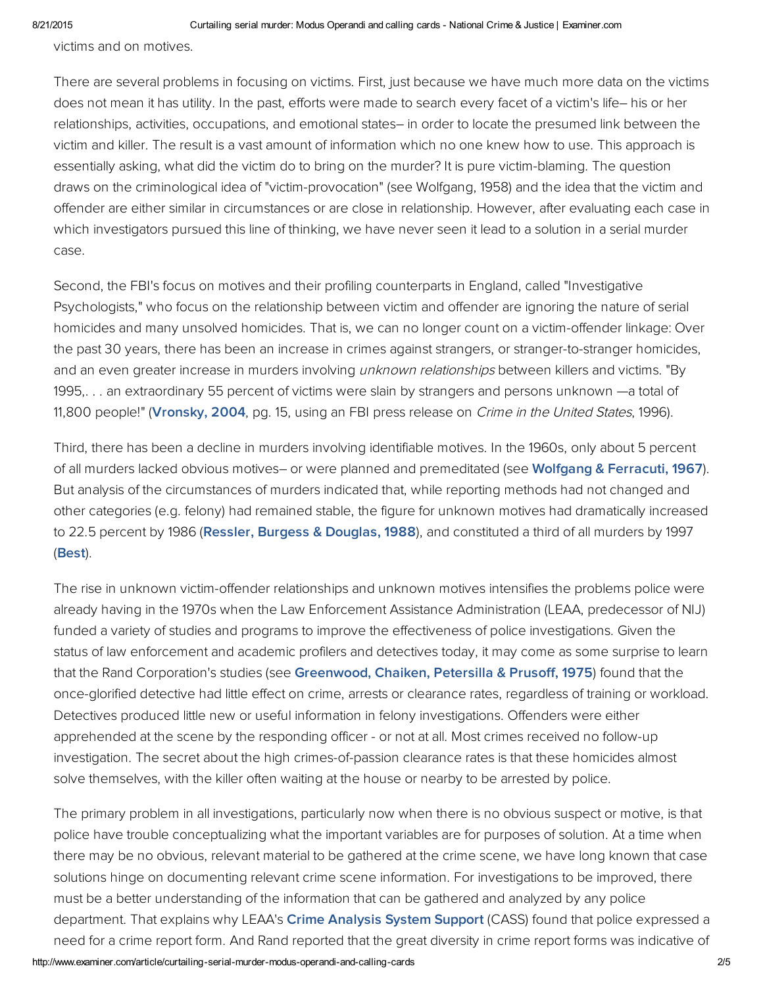victims and on motives.

There are several problems in focusing on victims. First, just because we have much more data on the victims does not mean it has utility. In the past, efforts were made to search every facet of a victim's life– his or her relationships, activities, occupations, and emotional states– in order to locate the presumed link between the victim and killer. The result is a vast amount of information which no one knew how to use. This approach is essentially asking, what did the victim do to bring on the murder? It is pure victim-blaming. The question draws on the criminological idea of "victim-provocation" (see Wolfgang, 1958) and the idea that the victim and offender are either similar in circumstances or are close in relationship. However, after evaluating each case in which investigators pursued this line of thinking, we have never seen it lead to a solution in a serial murder case.

Second, the FBI's focus on motives and their profiling counterparts in England, called "Investigative Psychologists," who focus on the relationship between victim and offender are ignoring the nature of serial homicides and many unsolved homicides. That is, we can no longer count on a victim-offender linkage: Over the past 30 years, there has been an increase in crimes against strangers, or stranger-to-stranger homicides, and an even greater increase in murders involving *unknown relationships* between killers and victims. "By 1995,. . . an extraordinary 55 percent of victims were slain by strangers and persons unknown —a total of 11,800 people!" ([Vronsky,](http://amzn.to/1bC3Bsg) 2004, pg. 15, using an FBI press release on *Crime in the United States*, 1996).

Third, there has been a decline in murders involving identifiable motives. In the 1960s, only about 5 percent of all murders lacked obvious motives– or were planned and premeditated (see Wolfgang & [Ferracuti,](https://books.google.com/books/about/The_subculture_of_violence.html?id=U15HAAAAMAAJ) 1967). But analysis of the circumstances of murders indicated that, while reporting methods had not changed and other categories (e.g. felony) had remained stable, the figure for unknown motives had dramatically increased to 22.5 percent by 1986 (Ressler, Burgess & [Douglas,](http://bit.ly/1c6r8l8) 1988), and constituted a third of all murders by 1997 ([Best\)](http://bit.ly/HG9lbp).

The rise in unknown victim-offender relationships and unknown motives intensifies the problems police were already having in the 1970s when the Law Enforcement Assistance Administration (LEAA, predecessor of NIJ) funded a variety of studies and programs to improve the effectiveness of police investigations. Given the status of law enforcement and academic profilers and detectives today, it may come as some surprise to learn that the Rand Corporation's studies (see [Greenwood,](http://bit.ly/186N5BA) Chaiken, Petersilla & Prusoff, 1975) found that the once-glorified detective had little effect on crime, arrests or clearance rates, regardless of training or workload. Detectives produced little new or useful information in felony investigations. Offenders were either apprehended at the scene by the responding officer - or not at all. Most crimes received no follow-up investigation. The secret about the high crimes-of-passion clearance rates is that these homicides almost solve themselves, with the killer often waiting at the house or nearby to be arrested by police.

The primary problem in all investigations, particularly now when there is no obvious suspect or motive, is that police have trouble conceptualizing what the important variables are for purposes of solution. At a time when there may be no obvious, relevant material to be gathered at the crime scene, we have long known that case solutions hinge on documenting relevant crime scene information. For investigations to be improved, there must be a better understanding of the information that can be gathered and analyzed by any police department. That explains why LEAA's Crime [Analysis](http://1.usa.gov/1ibSIlK) System Support (CASS) found that police expressed a need for a crime report form. And Rand reported that the great diversity in crime report forms was indicative of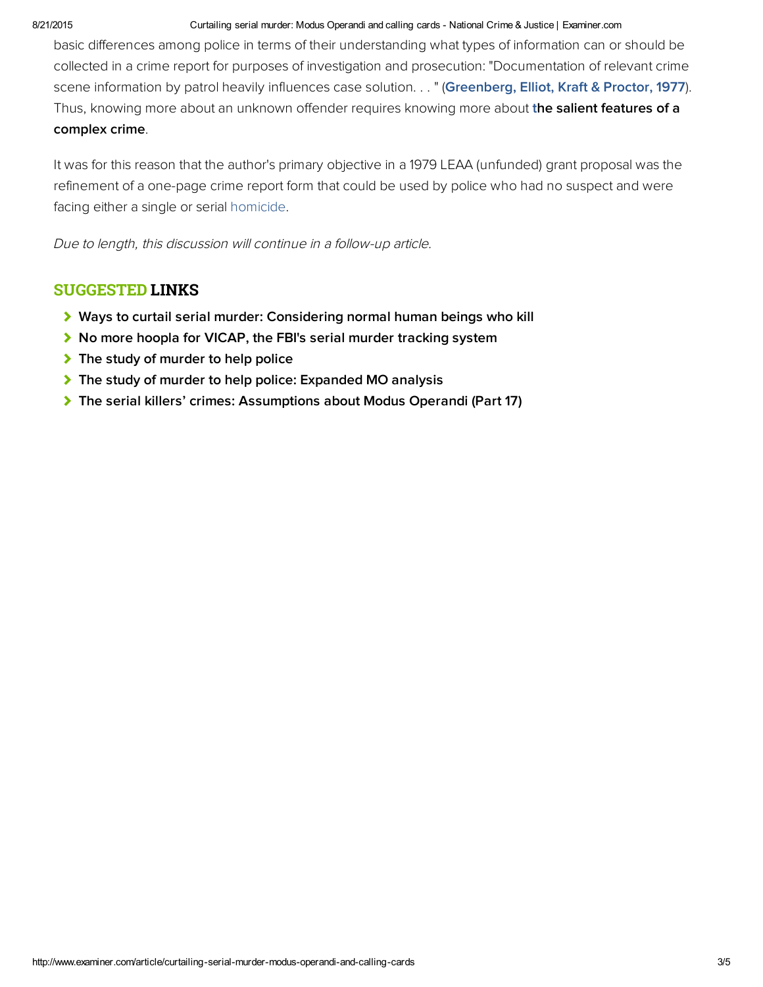### 8/21/2015 Curtailing serial murder: Modus Operandi and calling cards National Crime & Justice | Examiner.com

basic differences among police in terms of their understanding what types of information can or should be collected in a crime report for purposes of investigation and prosecution: "Documentation of relevant crime scene information by patrol heavily influences case solution. . . " ([Greenberg, Elliot, Kraft & Proctor, 1977](http://1.usa.gov/1cqBQmH)). Thus, knowing more about an unknown offender requires knowing more about the salient features of a complex crime.

It was for this reason that the author's primary objective in a 1979 LEAA (unfunded) grant proposal was the refinement of a one-page crime report form that could be used by police who had no suspect and were facing either a single or serial homicide.

Due to length, this discussion will continue in a follow-up article.

## SUGGESTED LINKS

- [Ways to curtail serial murder: Considering normal human beings who kill](www.ritterhomicideresearch.com/articles/Ways-to-curtail-Serial-Murder_normal-humans-who-kill.pdf)
- ▶ [No more hoopla for VICAP, the FBI's serial murder tracking system](www.ritterhomicideresearch.com/articles/VICAP_the-FBIs-serial-murder-tracking-system.pdf)
- $\blacktriangleright$  [The study of murder to help police](www.ritterhomicideresearch.com/articles/The-study-of-murder-to-help-police.pdf)
- [The study of murder to help police: Expanded MO analysis](www.ritterhomicideresearch.com/articles/The-study-of-murder-to-help-police_Expanded-MO-analysis.pdf)
- [The serial killers' crimes: Assumptions about Modus Operandi \(Part 17\)](www.ritterhomicideresearch.com/articles/Part-17.pdf)